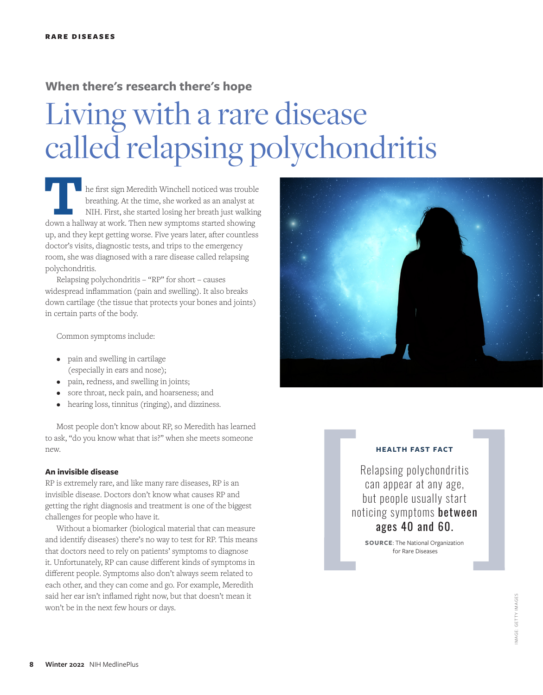### **When there's research there's hope**

# Living with a rare disease called relapsing polychondritis

**THE first sign Meredith Winchell noticed was trouble breathing. At the time, she worked as an analyst at NIH. First, she started losing her breath just walking down a hallway at work. Then new symptoms started showing** breathing. At the time, she worked as an analyst at NIH. First, she started losing her breath just walking up, and they kept getting worse. Five years later, after countless doctor's visits, diagnostic tests, and trips to the emergency room, she was diagnosed with a rare disease called relapsing polychondritis.

Relapsing polychondritis – "RP" for short – causes widespread inflammation (pain and swelling). It also breaks down cartilage (the tissue that protects your bones and joints) in certain parts of the body.

Common symptoms include:

- pain and swelling in cartilage (especially in ears and nose);
- pain, redness, and swelling in joints;
- sore throat, neck pain, and hoarseness; and
- hearing loss, tinnitus (ringing), and dizziness.

Most people don't know about RP, so Meredith has learned to ask, "do you know what that is?" when she meets someone new.

#### **An invisible disease**

RP is extremely rare, and like many rare diseases, RP is an invisible disease. Doctors don't know what causes RP and getting the right diagnosis and treatment is one of the biggest challenges for people who have it.

Without a biomarker (biological material that can measure and identify diseases) there's no way to test for RP. This means that doctors need to rely on patients' symptoms to diagnose it. Unfortunately, RP can cause different kinds of symptoms in different people. Symptoms also don't always seem related to each other, and they can come and go. For example, Meredith said her ear isn't inflamed right now, but that doesn't mean it won't be in the next few hours or days.



#### **HEALTH FAST FACT**

Relapsing polychondritis can appear at any age, but people usually start noticing symptoms between ages 40 and 60.

**SOURCE**: The National Organization for Rare Diseases